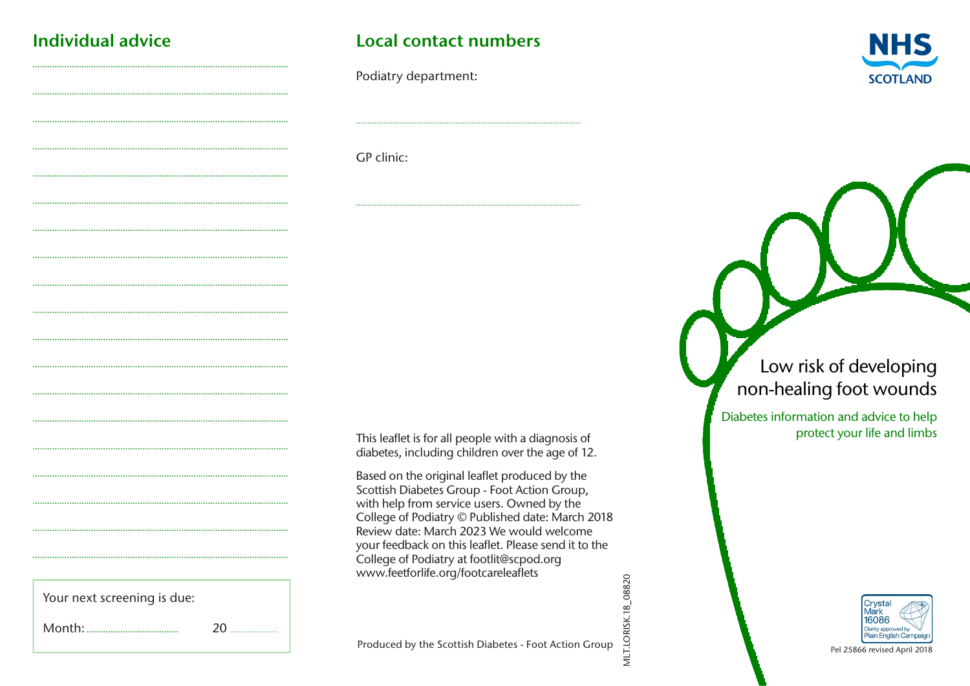# **Individual advice**

# Local contact numbers

Podiatry department:



GP clinic:

This leaflet is for all people with a diagnosis of diabetes, including children over the age of 12.

Based on the original leaflet produced by the Scottish Diabetes Group - Foot Action Group, with help from service users. Owned by the College of Podiatry © Published date: March 2018 Review date: March 2023 We would welcome your feedback on this leaflet. Please send it to the College of Podiatry at footlit@scpod.org www.feetforlife.org/footcareleaflets

Your next screening is due:

 $20^{\circ}$ 

Produced by the Scottish Diabetes - Foot Action Group

**MLT.LORISK.18\_08820** 

# Low risk of developing non-healing foot wounds

Diabetes information and advice to help protect your life and limbs



Pel 25866 revised April 2018